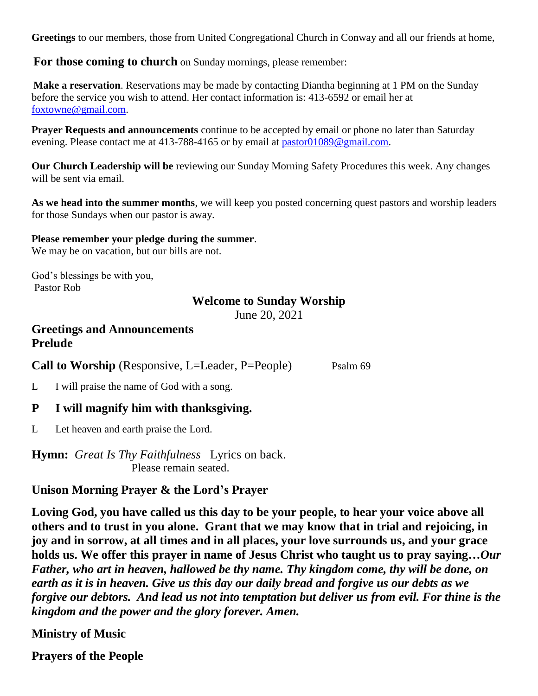**Greetings** to our members, those from United Congregational Church in Conway and all our friends at home,

For those coming to church on Sunday mornings, please remember:

**Make a reservation**. Reservations may be made by contacting Diantha beginning at 1 PM on the Sunday before the service you wish to attend. Her contact information is: 413-6592 or email her at [foxtowne@gmail.com.](mailto:foxtowne@gmail.com)

**Prayer Requests and announcements** continue to be accepted by email or phone no later than Saturday evening. Please contact me at 413-788-4165 or by email at [pastor01089@gmail.com.](mailto:pastor01089@gmail.com)

**Our Church Leadership will be** reviewing our Sunday Morning Safety Procedures this week. Any changes will be sent via email.

**As we head into the summer months**, we will keep you posted concerning quest pastors and worship leaders for those Sundays when our pastor is away.

#### **Please remember your pledge during the summer**.

We may be on vacation, but our bills are not.

God's blessings be with you, Pastor Rob

### **Welcome to Sunday Worship**

June 20, 2021

### **Greetings and Announcements Prelude**

**Call to Worship** (Responsive, L=Leader, P=People) Psalm 69

L I will praise the name of God with a song.

### **P I will magnify him with thanksgiving.**

L Let heaven and earth praise the Lord.

**Hymn:** *Great Is Thy Faithfulness* Lyrics on back. Please remain seated.

### **Unison Morning Prayer & the Lord's Prayer**

**Loving God, you have called us this day to be your people, to hear your voice above all others and to trust in you alone. Grant that we may know that in trial and rejoicing, in joy and in sorrow, at all times and in all places, your love surrounds us, and your grace holds us. We offer this prayer in name of Jesus Christ who taught us to pray saying…***Our Father, who art in heaven, hallowed be thy name. Thy kingdom come, thy will be done, on earth as it is in heaven. Give us this day our daily bread and forgive us our debts as we forgive our debtors. And lead us not into temptation but deliver us from evil. For thine is the kingdom and the power and the glory forever. Amen.*

**Ministry of Music**

**Prayers of the People**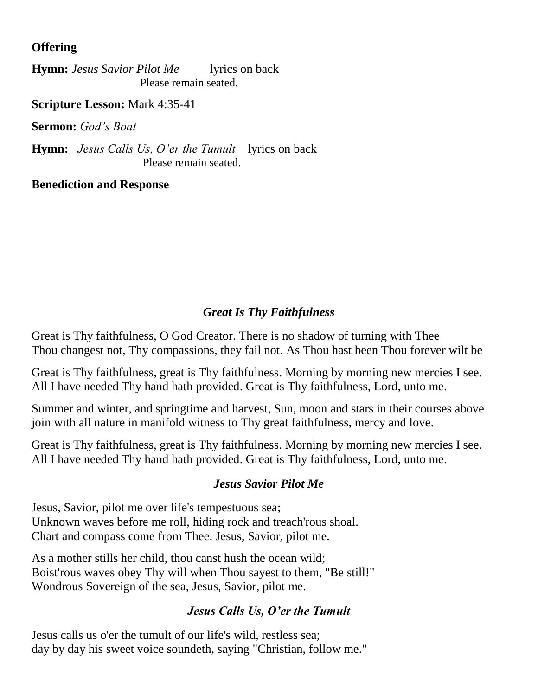## **Offering**

**Hymn:** *Jesus Savior Pilot Me*lyrics on back Please remain seated.

**Scripture Lesson:** Mark 4:35-41

**Sermon:** *God's Boat*

**Hymn:** *Jesus Calls Us, O'er the Tumult* lyrics on back Please remain seated.

**Benediction and Response**

# *Great Is Thy Faithfulness*

Great is Thy faithfulness, O God Creator. There is no shadow of turning with Thee Thou changest not, Thy compassions, they fail not. As Thou hast been Thou forever wilt be

Great is Thy faithfulness, great is Thy faithfulness. Morning by morning new mercies I see. All I have needed Thy hand hath provided. Great is Thy faithfulness, Lord, unto me.

Summer and winter, and springtime and harvest, Sun, moon and stars in their courses above join with all nature in manifold witness to Thy great faithfulness, mercy and love.

Great is Thy faithfulness, great is Thy faithfulness. Morning by morning new mercies I see. All I have needed Thy hand hath provided. Great is Thy faithfulness, Lord, unto me.

## *Jesus Savior Pilot Me*

Jesus, Savior, pilot me over life's tempestuous sea; Unknown waves before me roll, hiding rock and treach'rous shoal. Chart and compass come from Thee. Jesus, Savior, pilot me.

As a mother stills her child, thou canst hush the ocean wild; Boist'rous waves obey Thy will when Thou sayest to them, "Be still!" Wondrous Sovereign of the sea, Jesus, Savior, pilot me.

## *Jesus Calls Us, O'er the Tumult*

Jesus calls us o'er the tumult of our life's wild, restless sea; day by day his sweet voice soundeth, saying "Christian, follow me."